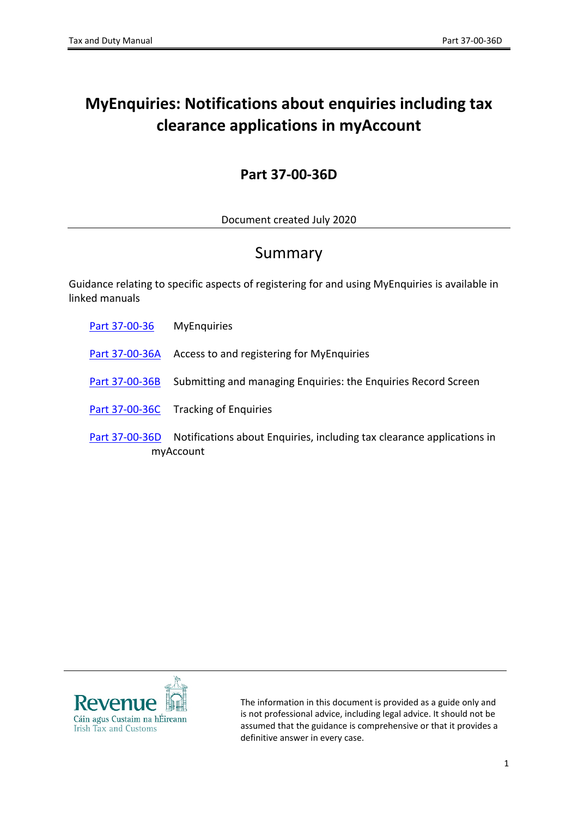# **MyEnquiries: Notifications about enquiries including tax clearance applications in myAccount**

### **Part 37-00-36D**

Document created July 2020

# Summary

Guidance relating to specific aspects of registering for and using MyEnquiries is available in linked manuals

| Part 37-00-36  | <b>MyEnguiries</b>                                                                                 |
|----------------|----------------------------------------------------------------------------------------------------|
| Part 37-00-36A | Access to and registering for MyEnquiries                                                          |
| Part 37-00-36B | Submitting and managing Enquiries: the Enquiries Record Screen                                     |
|                | Part 37-00-36C Tracking of Enquiries                                                               |
|                | Part 37-00-36D Notifications about Enquiries, including tax clearance applications in<br>myAccount |



The information in this document is provided as a guide only and is not professional advice, including legal advice. It should not be assumed that the guidance is comprehensive or that it provides a definitive answer in every case.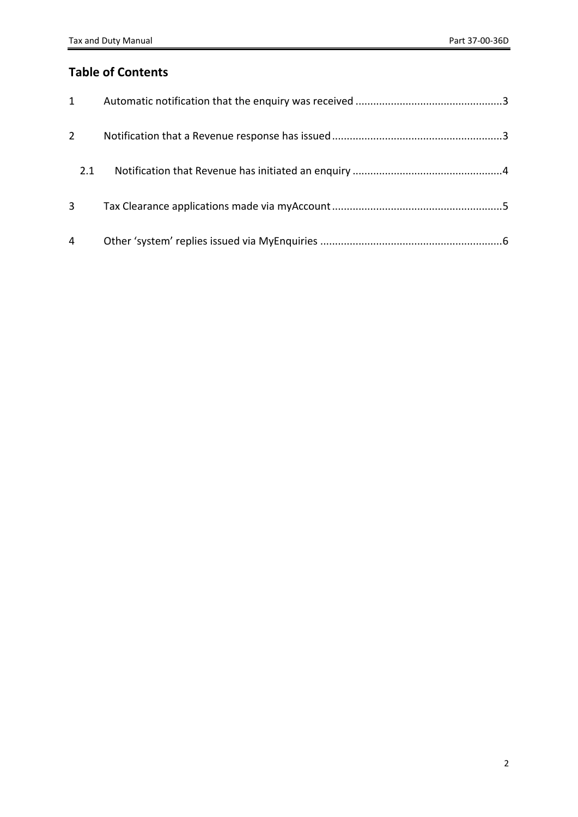### **Table of Contents**

| 1              |  |  |  |  |
|----------------|--|--|--|--|
| $2^{\circ}$    |  |  |  |  |
| 2.1            |  |  |  |  |
| 3              |  |  |  |  |
| $\overline{4}$ |  |  |  |  |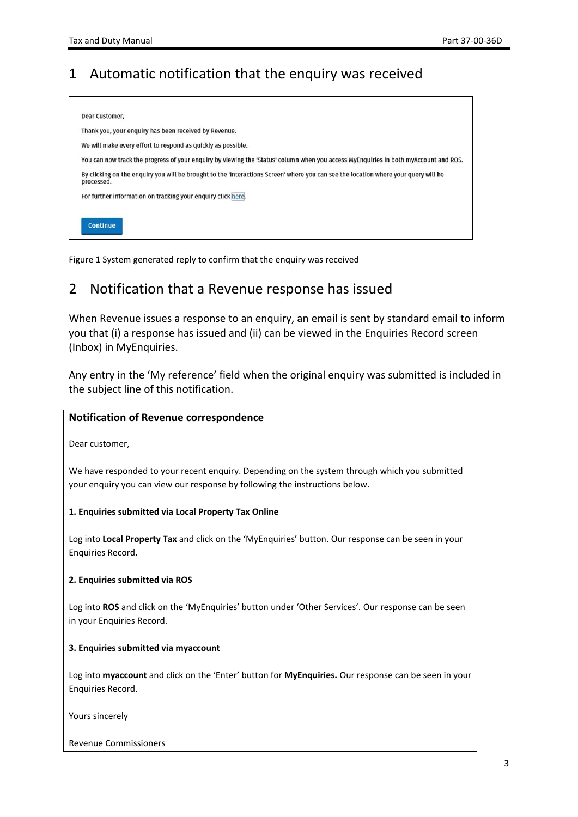## <span id="page-2-0"></span>1 Automatic notification that the enquiry was received



Figure 1 System generated reply to confirm that the enquiry was received

### <span id="page-2-1"></span>2 Notification that a Revenue response has issued

When Revenue issues a response to an enquiry, an email is sent by standard email to inform you that (i) a response has issued and (ii) can be viewed in the Enquiries Record screen (Inbox) in MyEnquiries.

Any entry in the 'My reference' field when the original enquiry was submitted is included in the subject line of this notification.

# **Notification of Revenue correspondence** Dear customer, We have responded to your recent enquiry. Depending on the system through which you submitted your enquiry you can view our response by following the instructions below. **1. Enquiries submitted via Local Property Tax Online** Log into **Local Property Tax** and click on the 'MyEnquiries' button. Our response can be seen in your Enquiries Record. **2. Enquiries submitted via ROS** Log into **ROS** and click on the 'MyEnquiries' button under 'Other Services'. Our response can be seen in your Enquiries Record. **3. Enquiries submitted via myaccount** Log into **myaccount** and click on the 'Enter' button for **MyEnquiries.** Our response can be seen in your Enquiries Record. Yours sincerely Revenue Commissioners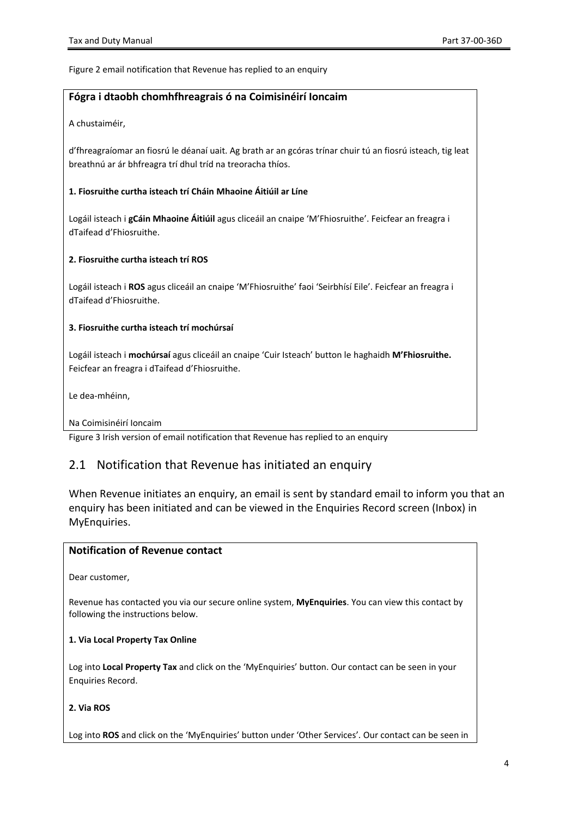Figure 2 email notification that Revenue has replied to an enquiry

| Fógra i dtaobh chomhfhreagrais ó na Coimisinéirí Ioncaim |  |
|----------------------------------------------------------|--|
|----------------------------------------------------------|--|

A chustaiméir,

d'fhreagraíomar an fiosrú le déanaí uait. Ag brath ar an gcóras trínar chuir tú an fiosrú isteach, tig leat breathnú ar ár bhfreagra trí dhul tríd na treoracha thíos.

#### **1. Fiosruithe curtha isteach trí Cháin Mhaoine Áitiúil ar Líne**

Logáil isteach i **gCáin Mhaoine Áitiúil** agus cliceáil an cnaipe 'M'Fhiosruithe'. Feicfear an freagra i dTaifead d'Fhiosruithe.

#### **2. Fiosruithe curtha isteach trí ROS**

Logáil isteach i **ROS** agus cliceáil an cnaipe 'M'Fhiosruithe' faoi 'Seirbhísí Eile'. Feicfear an freagra i dTaifead d'Fhiosruithe.

#### **3. Fiosruithe curtha isteach trí mochúrsaí**

Logáil isteach i **mochúrsaí** agus cliceáil an cnaipe 'Cuir Isteach' button le haghaidh **M'Fhiosruithe.** Feicfear an freagra i dTaifead d'Fhiosruithe.

Le dea-mhéinn,

Na Coimisinéirí Ioncaim

Figure 3 Irish version of email notification that Revenue has replied to an enquiry

### <span id="page-3-0"></span>2.1 Notification that Revenue has initiated an enquiry

When Revenue initiates an enquiry, an email is sent by standard email to inform you that an enquiry has been initiated and can be viewed in the Enquiries Record screen (Inbox) in MyEnquiries.

#### **Notification of Revenue contact**

Dear customer,

Revenue has contacted you via our secure online system, **MyEnquiries**. You can view this contact by following the instructions below.

#### **1. Via Local Property Tax Online**

Log into **Local Property Tax** and click on the 'MyEnquiries' button. Our contact can be seen in your Enquiries Record.

**2. Via ROS**

Log into **ROS** and click on the 'MyEnquiries' button under 'Other Services'. Our contact can be seen in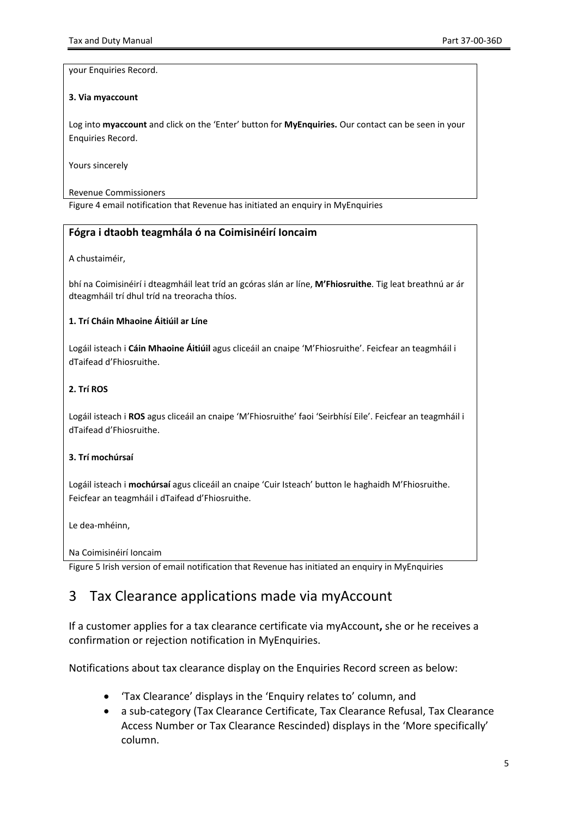#### your Enquiries Record.

#### **3. Via myaccount**

Log into **myaccount** and click on the 'Enter' button for **MyEnquiries.** Our contact can be seen in your Enquiries Record.

Yours sincerely

Revenue Commissioners

Figure 4 email notification that Revenue has initiated an enquiry in MyEnquiries

#### **Fógra i dtaobh teagmhála ó na Coimisinéirí Ioncaim**

A chustaiméir,

bhí na Coimisinéirí i dteagmháil leat tríd an gcóras slán ar líne, **M'Fhiosruithe**. Tig leat breathnú ar ár dteagmháil trí dhul tríd na treoracha thíos.

#### **1. Trí Cháin Mhaoine Áitiúil ar Líne**

Logáil isteach i **Cáin Mhaoine Áitiúil** agus cliceáil an cnaipe 'M'Fhiosruithe'. Feicfear an teagmháil i dTaifead d'Fhiosruithe.

#### **2. Trí ROS**

Logáil isteach i **ROS** agus cliceáil an cnaipe 'M'Fhiosruithe' faoi 'Seirbhísí Eile'. Feicfear an teagmháil i dTaifead d'Fhiosruithe.

#### **3. Trí mochúrsaí**

Logáil isteach i **mochúrsaí** agus cliceáil an cnaipe 'Cuir Isteach' button le haghaidh M'Fhiosruithe. Feicfear an teagmháil i dTaifead d'Fhiosruithe.

Le dea-mhéinn,

Na Coimisinéirí Ioncaim

Figure 5 Irish version of email notification that Revenue has initiated an enquiry in MyEnquiries

### <span id="page-4-0"></span>3 Tax Clearance applications made via myAccount

If a customer applies for a tax clearance certificate via myAccount**,** she or he receives a confirmation or rejection notification in MyEnquiries.

Notifications about tax clearance display on the Enquiries Record screen as below:

- 'Tax Clearance' displays in the 'Enquiry relates to' column, and
- a sub-category (Tax Clearance Certificate, Tax Clearance Refusal, Tax Clearance Access Number or Tax Clearance Rescinded) displays in the 'More specifically' column.